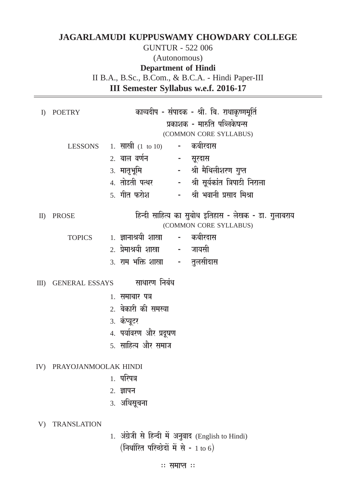# **JAGARLAMUDI KUPPUSWAMY CHOWDARY COLLEGE**

## **GUNTUR - 522 006** (Autonomous) **Department of Hindi** II B.A., B.Sc., B.Com., & B.C.A. - Hindi Paper-III **III Semester Syllabus w.e.f. 2016-17**

| I)           | <b>POETRY</b>            |                                                                                |  | काव्यदीप - संपादक - श्री. बि. राधाकृष्णमूर्ति             |  |  |
|--------------|--------------------------|--------------------------------------------------------------------------------|--|-----------------------------------------------------------|--|--|
|              |                          | प्रकाशक - मारुति पब्लिकेषन्स                                                   |  |                                                           |  |  |
|              |                          | (COMMON CORE SYLLABUS)                                                         |  |                                                           |  |  |
|              |                          | LESSONS 1. साखी (1 to 10) - कबीरदास                                            |  |                                                           |  |  |
|              |                          | 2. बाल वर्णन - सूरदास                                                          |  |                                                           |  |  |
|              |                          | 3. मातृभूमि                   श्री मैथिलीशरण गुप्त                             |  |                                                           |  |  |
|              |                          |                                                                                |  | 4. तोडती पत्थर             श्री सूर्यकांत त्रिपाठी निराला |  |  |
|              |                          |                                                                                |  | 5. गीत फरोश विकास - श्री भवानी प्रसाद मिश्रा              |  |  |
| $\mathbf{I}$ | <b>PROSE</b>             | हिन्दी साहित्य का सुबोध इतिहास - लेखक - डा. गुलाबराय<br>(COMMON CORE SYLLABUS) |  |                                                           |  |  |
|              |                          | TOPICS 1. ज्ञानाश्रयी शाखा         कबीरदास                                     |  |                                                           |  |  |
|              |                          | 2. प्रेमाश्रयी शाखा - जायसी                                                    |  |                                                           |  |  |
|              |                          | 3. राम भक्ति शाखा   - तुलसीदास                                                 |  |                                                           |  |  |
| $III$ )      |                          | GENERAL ESSAYS साधारण निबंध                                                    |  |                                                           |  |  |
|              |                          | 1. समाचार पत्र                                                                 |  |                                                           |  |  |
|              |                          | 2. बेकारी की समस्या                                                            |  |                                                           |  |  |
|              |                          | 3. कंप्यूटर                                                                    |  |                                                           |  |  |
|              |                          | 4. पर्यावरण और प्रदूषण                                                         |  |                                                           |  |  |
|              |                          | 5. साहित्य और समाज                                                             |  |                                                           |  |  |
|              | IV) PRAYOJANMOOLAK HINDI |                                                                                |  |                                                           |  |  |
|              |                          | 1. परिपत्र                                                                     |  |                                                           |  |  |
|              |                          | 2. ज्ञापन                                                                      |  |                                                           |  |  |
|              |                          | 3. अधिसूचना                                                                    |  |                                                           |  |  |
| V)           | <b>TRANSLATION</b>       |                                                                                |  |                                                           |  |  |
|              |                          |                                                                                |  |                                                           |  |  |

1. अंग्रेजी से हिन्दी में अनुवाद (English to Hindi) (निर्धारित परिच्छेदों में से -  $1 \text{ to } 6$ )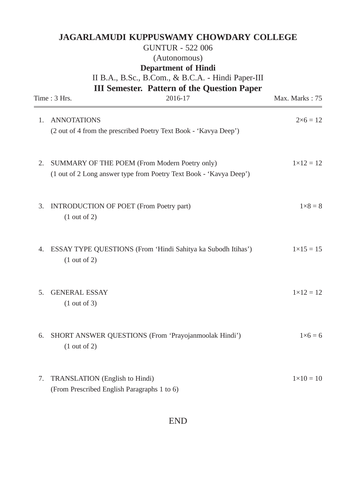## **JAGARLAMUDI KUPPUSWAMY CHOWDARY COLLEGE** GUNTUR - 522 006

# (Autonomous)

## **Department of Hindi**

## II B.A., B.Sc., B.Com., & B.C.A. - Hindi Paper-III **III Semester. Pattern of the Question Paper**

|    | Time: 3 Hrs.                                                                           | 2016-17                                                                                                             | Max. Marks: 75     |
|----|----------------------------------------------------------------------------------------|---------------------------------------------------------------------------------------------------------------------|--------------------|
| 1. | <b>ANNOTATIONS</b><br>(2 out of 4 from the prescribed Poetry Text Book - 'Kavya Deep') |                                                                                                                     | $2 \times 6 = 12$  |
| 2. |                                                                                        | SUMMARY OF THE POEM (From Modern Poetry only)<br>(1 out of 2 Long answer type from Poetry Text Book - 'Kavya Deep') | $1 \times 12 = 12$ |
| 3. | <b>INTRODUCTION OF POET (From Poetry part)</b><br>(1 out of 2)                         |                                                                                                                     | $1\times8=8$       |
| 4. | (1 out of 2)                                                                           | ESSAY TYPE QUESTIONS (From 'Hindi Sahitya ka Subodh Itihas')                                                        | $1 \times 15 = 15$ |
| 5. | <b>GENERAL ESSAY</b><br>(1 out of 3)                                                   |                                                                                                                     | $1 \times 12 = 12$ |
| 6. | (1 out of 2)                                                                           | SHORT ANSWER QUESTIONS (From 'Prayojanmoolak Hindi')                                                                | $1\times 6=6$      |
| 7. | <b>TRANSLATION</b> (English to Hindi)<br>(From Prescribed English Paragraphs 1 to 6)   |                                                                                                                     | $1 \times 10 = 10$ |

#### END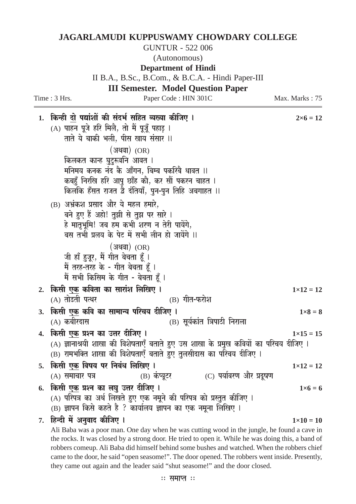#### **JAGARLAMUDI KUPPUSWAMY CHOWDARY COLLEGE**

**GUNTUR - 522 006** 

(Autonomous)

Department of Hindi

II B.A., B.Sc., B.Com., & B.C.A. - Hindi Paper-III **III Semester. Model Question Paper** 

Time: 3 Hrs.

Paper Code: HIN 301C

Max. Marks: 75

| 1. | किन्ही <u>दो</u> पद्यांशों की संदर्भ सहित व्यख्या कीजिए ।                                   | $2\times 6 = 12$   |
|----|---------------------------------------------------------------------------------------------|--------------------|
|    | (A) पाहन पूजे हरि मिलै, तो मैं पूजूँ पहाड़ ।                                                |                    |
|    | ताते ये चाकी भली, पीस खाय संसार ।।                                                          |                    |
|    | $(\mathsf{3}$ थवा) $(\mathsf{OR})$                                                          |                    |
|    | किलकत कान्ह घुटुरूवनि आवत ।                                                                 |                    |
|    | मनिमय कनक नंद कै आँगन, बिम्ब पकरिबै धावत ॥                                                  |                    |
|    | कबहुँ निरखि हरि आपु छाँह कौ, कर सौं पकरन चाहत ।                                             |                    |
|    | किलकि हँसत राजत द्वै दंतियाँ, पुन-पुन तिहि अबगाहत ।।                                        |                    |
|    | (B) अभ्रंकश प्रसाद और ये महल हमारे,                                                         |                    |
|    | बने हुए हैं अहो! तुझी से तुझ पर सारे ।                                                      |                    |
|    | हे मातृभूमि! जब हम कभी शरण न तेरी पायेंगे,                                                  |                    |
|    | बस तभी प्रलय के पेट में सभी लीन हो जायेंगे ।।                                               |                    |
|    | $($ अथवा $)$ $(OR)$                                                                         |                    |
|    | जी हाँ हुजूर, मैं गीत बेचता हूँ ।                                                           |                    |
|    | मैं तरह-तरह के - गीत बेचता हूँ ।                                                            |                    |
|    | मैं सभी किसिम के गीत - बेचता हूँ।                                                           |                    |
| 2. | किसी <u>एक</u> कविता का सारांश लिखिए ।                                                      | $1 \times 12 = 12$ |
|    | (A) तोडती पत्थर<br>$(B)$ गीत-फरोश                                                           |                    |
| 3. | किसी <u>एक</u> कवि का सामान्य परिचय दीजिए ।                                                 | $1\times8=8$       |
|    | (A) कबीरदास<br>(B) सूर्यकांत त्रिपाठी निराला                                                |                    |
| 4. | किसी एक प्रश्न का उत्तर दीजिए ।                                                             | $1 \times 15 = 15$ |
|    | (A) ज्ञानाश्रयी शाखा की विशेषताएँ बताते हुए उस शाखा के प्रमुख कवियों का परिचय दीजिए ।       |                    |
|    | (B) रामभक्ति शाखा की विशेषताएँ बताते हुए तुलसीदास का परिचय दीजिए ।                          |                    |
| 5. | किसी एक विषय पर निबंध लिखिए ।                                                               | $1 \times 12 = 12$ |
|    | (C) पर्यावरण और प्रदूषण<br>(B) कप्यूटर<br>(A) <b>समाचार पत्र</b>                            |                    |
|    | 6. किसी एक प्रश्न का लघु उत्तर दीजिए ।                                                      | $1\times 6=6$      |
|    | (A) परिपत्र का अर्थ लिखते हुए एक नमूने की परिपत्र को प्रस्तुत कीजिए ।                       |                    |
|    | (B) ज्ञापन किसे कहते है ? कार्यालय ज्ञापन का एक नमूना लिखिए ।                               |                    |
|    | 7. हिन्दी में अनुवाद कीजिए ।                                                                | $1 \times 10 = 10$ |
|    | Ali Baba was a poor man. One day when he was cutting wood in the jungle, he found a cave in |                    |

the rocks. It was closed by a strong door. He tried to open it. While he was doing this, a band of robbers comeup. Ali Baba did himself behind some bushes and watched. When the robbers chief came to the door, he said "open seasome!". The door opened. The robbers went inside. Presently, they came out again and the leader said "shut seasome!" and the door closed.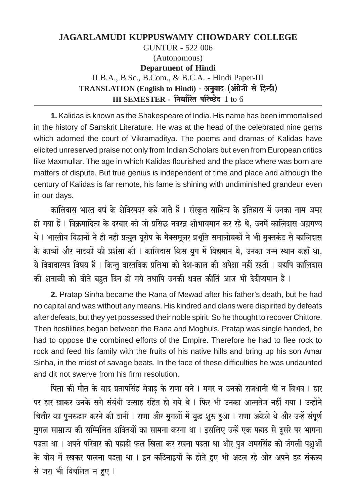#### **JAGARLAMUDI KUPPUSWAMY CHOWDARY COLLEGE GUNTUR - 522 006** (Autonomous) **Department of Hindi** II B.A., B.Sc., B.Com., & B.C.A. - Hindi Paper-III TRANSLATION (English to Hindi) - अनुवाद (अंग्रेजी से हिन्दी) III SEMESTER - निर्धारित परिच्छेद 1 to 6

1. Kalidas is known as the Shakespeare of India. His name has been immortalised in the history of Sanskrit Literature. He was at the head of the celebrated nine gems which adorned the court of Vikramaditya. The poems and dramas of Kalidas have elicited unreserved praise not only from Indian Scholars but even from European critics like Maxmullar. The age in which Kalidas flourished and the place where was born are matters of dispute. But true genius is independent of time and place and although the century of Kalidas is far remote, his fame is shining with undiminished grandeur even in our days.

कालिदास भारत वर्ष के शेक्स्पियर कहे जाते हैं । संस्कृत साहित्य के इतिहास में उनका नाम अमर हो गया हैं। विक्रमादित्य के दरबार को जो प्रसिद्ध नवरत्न शोभायमान कर रहे थे. उनमें कालिदास अग्रगण्य थे। भारतीय विद्वानों ने ही नही प्रत्युत यूरोप के मैक्समूलर प्रभृति समालोचकों ने भी मुक्तकंठ से कालिदास के काव्यों और नाटकों की प्रशंसा की । कालिदास किस युग में विद्यमान थे, उनका जन्म स्थान कहाँ था, ये विवादास्पद विषय हैं । किन्तु वास्तविक प्रतिभा को देश-काल की अपेक्षा नहीं रहती । यद्यपि कालिदास की शताब्दी को बीते बहुत दिन हो गये तथापि उनकी धवल कीर्ति आज भी देदीप्यमान है ।

2. Pratap Sinha became the Rana of Mewad after his father's death, but he had no capital and was without any means. His kindred and clans were dispirited by defeats after defeats, but they yet possessed their noble spirit. So he thought to recover Chittore. Then hostilities began between the Rana and Moghuls. Pratap was single handed, he had to oppose the combined efforts of the Empire. Therefore he had to flee rock to rock and feed his family with the fruits of his native hills and bring up his son Amar Sinha, in the midst of savage beats. In the face of these difficulties he was undaunted and dit not swerve from his firm resolution.

पिता की मौत के बाद प्रतापसिंह मेवाड़ के राणा बने । मगर न उनको राजधानी थी न विभव । हार पर हार खाकर उनके सगे संबंधी उत्साह रहित हो गये थे। फिर भी उनका आत्मतेज नहीं गया। उन्होंने चित्तौर का पुनरुद्धार करने की ठानी । राणा और मुगलों में युद्ध शुरु हुआ । राणा अकेले थे और उन्हें संपूर्ण मुगल साम्राज्य की सम्मिलित शक्तियों का सामना करना था । इसलिए उन्हें एक पहाड से दूसरे पर भागना पड़ता था । अपने परिवार को पहाडी फल खिला कर रखना पड़ता था और पुत्र अमरसिंह को जंगली पशुओं के बीच में रखकर पालना पडता था । इन कठिनाइयों के होते हुए भी अटल रहे और अपने दृढ संकल्प से जरा भी विचलित न हुए ।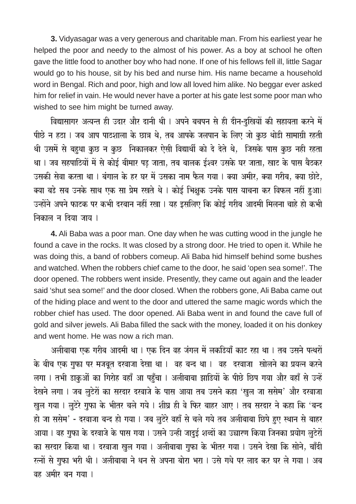3. Vidyasagar was a very generous and charitable man. From his earliest year he helped the poor and needy to the almost of his power. As a boy at school he often gave the little food to another boy who had none. If one of his fellows fell ill, little Sagar would go to his house, sit by his bed and nurse him. His name became a household word in Bengal. Rich and poor, high and low all loved him alike. No beggar ever asked him for relief in vain. He would never have a porter at his gate lest some poor man who wished to see him might be turned away.

विद्यासागर अत्यन्त ही उदार और दानी थी । अपने बचपन से ही दीन-दखियों की सहायता करने में पीछे न हठा । जब आप पाठशाला के छात्र थे, तब आपके जलपान के लिए जो कुछ थोडी सामाग्री रहती थी उसमें से बहुधा कुछ न कुछ निकालकर ऐसी विद्यार्थी को दे देते थे, जिसके पास कुछ नही रहता था । जव सहपाठियों में से कोई बीमार पड़ जाता, तब बालक ईश्वर उसके घर जाता, खाट के पास बैठकर उसकी सेवा करता था। बंगाल के हर घर में उसका नाम फैल गया। क्या अमीर, क्या गरीब, क्या छोटे, क्या बडे सब उनके साथ एक सा प्रेम रखते थे । कोई भिक्षुक उनके पास याचना कर विफल नहीं हुआ। उन्होंने अपने फाटक पर कभी दरबान नहीं रखा। यह इसलिए कि कोई गरीब आदमी मिलना चाहे हो कभी निकाल न दिया जाय ।

4. Ali Baba was a poor man. One day when he was cutting wood in the jungle he found a cave in the rocks. It was closed by a strong door. He tried to open it. While he was doing this, a band of robbers comeup. Ali Baba hid himself behind some bushes and watched. When the robbers chief came to the door, he said 'open sea some!'. The door opened. The robbers went inside. Presently, they came out again and the leader said 'shut sea some!' and the door closed. When the robbers gone, Ali Baba came out of the hiding place and went to the door and uttered the same magic words which the robber chief has used. The door opened. Ali Baba went in and found the cave full of gold and silver jewels. Ali Baba filled the sack with the money, loaded it on his donkey and went home. He was now a rich man.

अलीबाबा एक गरीब आदमी था । एक दिन वह जंगल में लकडियाँ काट रहा था । तब उसने पत्थरों के बीच एक गुफा पर मजबूत दरवाजा देखा था । वह बन्द था । वह दरवाजा खोलने का प्रयत्न करने लगा । तभी डाकुओं का गिरोह वहाँ आ पहुँचा । अलीबाबा झाडियों के पीछे छिप गया और वहाँ से उन्हें देखने लगा । जब लुटेरों का सरदार दरवाजे के पास आया तब उसने कहा 'खुल जा ससेम' और दरवाजा खुल गया । लुटेरे गुफा के भीतर चले गये । शीघ्र ही वे फिर बाहर आए । तब सरदार ने कहा कि 'बन्द हो जा ससेम' - दरवाजा बन्द हो गया । जब लुटेरे वहाँ से चले गये तब अलीबाबा छिपे हुए स्थान से बाहर आया। वह गुफा के दरवाजे के पास गया। उसने उन्ही जादुई शब्दों का उच्चारण किया जिनका प्रयोग लुटेरों का सरदार किया था । दरवाजा खुल गया । अलीबाबा गुफा के भीतर गया । उसने देखा कि सोने, चाँदी रत्नों से गुफा भरी थी । अलीबाबा ने धन से अपना बोरा भरा । उसे गधे पर लाद कर घर ले गया । अब वह अमीर बन गया।